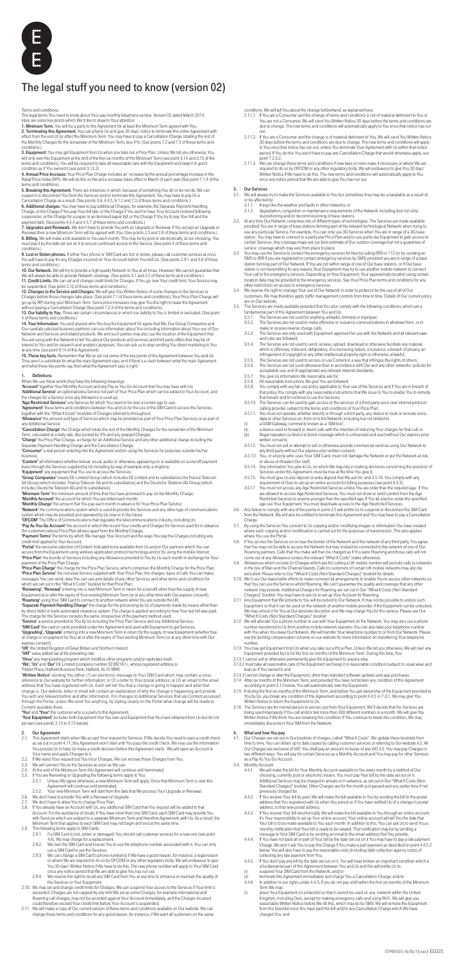

# The legal stuff you need to know (version 02)

Terms and conditions.

The legal terms You need to know about Your pay monthly telephone service. Version 02 dated March 2014.<br>Here are some key points which We'd like to draw to Your attention:<br>**1. Minimum Term.** You will be a party to this Agr

**2. Terminating this Agreement.** You can phone Us and give 30 days' notice to terminate this entire Agreement with<br>effect from the end of (or after) the Minimum Term. You may have to pay a Cancellation Charge, totalling th conditions.)

3. Equipment: You may get Equipment from Us when you take out a Price Plan. Unless We tell you otherwise, You will only own this Equipment at the end of the first six months of the Minimum Term (see point 3.14 and 3.15 of the terms and conditions). You will be required to take all reasonable care with the Equipment and keep it in good<br>condition as if You owned it (see point 3.13.2)<br>**4. Annual Price Increase:** Your Price Plan Charge includes an

Retail Price Index (RPI). We will do this so the price increase takes effect in March of each year (See point 7.1.4 of the<br>terms and conditions).

terms and conditions).<br>
S. **Exercing this Agreement**. There are instances in which, because of something You do or do not do, We can<br>
S. **Exercing this Agreement**. There are instances and/or terminate this Agreement. You m

9. Lost or Stolen phones. If either Your phone or SIM Card are lost or stolen, please call customer services at once. You will have to pay for any Charges incurred on Your Account before You told Us. (See points 2.9.1 and 4.6 of these<br>terms and conditions.)<br>**10. Our Network**. We will try to provide a high-quality Network to You at all tim

We will always be able to provide Network coverage. (See points 3.1 and 3.2 of these terms and conditions.)<br>**11. Credit Limits.** We can set and change credit limits for Charges. If You go over Your credit limit, Your Servi

**12. Changes to the Service and Charges.** We will give You Written Notice of some changes to the Services or<br>Charges before those changes take place. (See point 7.1 of these terms and conditions). Your Price Plan Charge wi

without paying a Cancellation Charge (See point 7.2.3 of the terms and conditions).<br>**13. Our liability to You.** There are certain circumstances in which our liability to You is limited or excluded. (See point

5 of these terms and conditions.) **14. Your Information.** You and anyone who You buy the Equipment for agree that We, Our Group Companies and<br>Our carefully selected business partners can use information about You including information about Your use of Our You are using with the Network to tell You about Our products and services and third party offers that may be of<br>interest to You and for research and analytics purposes. You can ask us to stop sending You direct marketing

**15. These key facts.** Remember that We've set out some of the key points of the Agreement between You and Us.<br>They aren't a substitute for what the main Agreement says, and if there's a clash between what the main Agreeme

**1. Definitions**<br>When We use these words they have the following meanings:<br>**'Account'** together Your Monthly Account and any Pay as You Go Account that You may have with Us;<br>**'Additional Service'** an optional/extra S

the charges for a Service once any Allowance is used up;<br>**'Age Restricted Services'** any Services for which You need to be over a certain age to use;<br>**'Agreement' t**hese terms and conditions between You and Us for the use

together with the "What It Costs" booklets of Charges referred to throughout;<br>**'Allowance'** the amount and type of Services which may be provided as part of Your Price Plan Services or as part of any Additional Service;

**'Cancellation Charge'** the Charge which totals the rest of the Monthly Charges for the remainder of the Minimum<br>Term, calculated at a daily rate, discounted by 4% and any prepaid Charges;<br>**'Charge'** the Price Plan Charge,

Separate Payment Handling Charge and the Cancellation Charge;<br>**'Consumer'** a real person entering into the Agreement and/or using the Services for purposes outside his/her business;

**'Content'** all information whether textual, visual, audio or otherwise, appearing on or available on a one-off payment<br>basis through the Services supplied by Us including by way of example only, a ringtone;<br>**'Equipment'**

**'Group Companies'** means EE Limited Group (which includes EE Limited and its subsidiaries) the France Telecom<br>SA Group (which includes France Telecom SA and its subsidiaries) and the Deutsche Telekom AG Group (which<br>inclu

**'Minimum Term'** the minimum amount of time that You have promised to pay Us the Monthly Charge;<br>'**Monthly Account'** the account for which You are billed each month;<br>**'Monthly Charge'** the amount that You pay each month in

**'Network'** the communications system which is used to provide the Services and any other type of communications<br>system which may be provided and operated by Us now or in the future;<br>**'OFCOM'** The Office of Communications

**'Pay As You Go Account'** the account in which We record Your credits and Charges for Services paid for in advance<br>(for customers whose Price Plan allows) apart from the Monthly Charge;<br>**'Payment Terms'** the terms by which

credit limit applied to Your Account;<br>**'Portal'** the exclusive selection of Content indicated to be available from Us and/or Our partners which You can access from the Equipment using wireless application protocol technology and/or by using the mobile internet; **'Price Plan'** the bundle of Services including any Allowance provided to You by Us each month in exchange for Your<br>payment of the Price Plan Charge;<br>**'Price Plan Charge'** the charge for the Price Plan Service, which compr

**'Price Plan Service'** the inclusive Service supplied with Your Price Plan, the charges, types of calls You can make,<br>messages You can send, data You can use and details of any other Services and other terms and conditions

**'Renewing', 'Renewal'** entering into a new Minimum Term in return for a benefit other than the supply of new<br>Equipment at or after the expiry of Your existing Minimum Term (or at any other time with Our express consent);<br>

**'Separate Payment Handling Charge'** the charge for the processing by Us of payments made by means other than<br>by direct debit or bank automated clearance system. The charge is applied according to how Your last bill was pa

The charge for the Services remains the same, irrespective of the payment method used;<br>**'Service'** a service provided to You by Us including the Price Plan Service and any Additional Service;<br>**'SIM Card'** the card or cards

**'Upgrading', 'Upgrade'** entering into a new Minimum Term in return for the supply of new Equipment (whether free<br>of charge or on payment by You) at or after the expiry of Your existing Minimum Term (or at any other time w

**ʻUK'** the United Kingdom of Great Britain and Northern Ireland;<br>**ʻVAT'** value added tax at the prevailing rate;<br>**ʻVirus'** any manipulating program which modifies other programs and/or replicates itself;

'**We', 'Us'** and '**Our'** EE Limited (company number 02382161) , whose registered address is<br>Trident Place, Hatfield Business Park, Hatfield, AL10 9BW;<br>'**Written Notice'** sending You either: (1) an electronic message to You reference to Our website for further information; or (2) a letter to Your postal address; or (3) an email to the email<br>address that You have registered with Us. Each will tell You that a change is going to happen and what

address that You have registered with Us. Each will tell You that a change is going to happen and what that change is. Our website, letter or email will contain an explanation of why the change is happening and provide You with any relevant before and after information. For changes to Additional Services that are Content accessed through the Portal, unless We send You anything, by stating clearly on the Portal what change will be made to Content available there.

'You' and 'Your' the customer who is a party to this Agreem

**'Your Equipment'** includes both Equipment that You own and Equipment that You have obtained from Us but do not<br>yet own (see points 3.13 to 3.15 below).

### 2. Our Agreement<br>2.1 This Agreement

- **3. Our Services**<br>3.1. We will always try to make the Services available to You but sometimes they may be unavailable as a result of, or be affected by:
	-
	- 3.1.1. things like the weather and faults in other networks; or 3.1.2. degradation, congestion or maintenance requirements of the Network including (but not only)
- re-positioning and/or decommissioning of base stations.<br>3.2. At any time Our Network comprises lots of different types of technologies. The Services are made available<br>provided You are in range of base stations forming use any particular Service. For example, You can only use 3G Services when You are in range of a 3G base<br>station. You may have to connect to a particular Price Plan and/or use particular Equipment to gain access to<br>certain
- service coverage which may vary from place to place.<br>3.3 You may use the Service to contact the emergency services for free by calling 999 or 112 (or by sending an<br>5.0 You may use the Service to contact emergency services location data may be provided to the emergency services. See Your Price Plan terms and conditions for any<br>other restrictions on access to emergency services.<br>3.4 We reserve the right to manage Your use of Our Network in or
- customers. We may therefore apply traffic management controls from time to time. Details of Our current policy<br>are on Our website.<br>3.5. The Services are made available provided that You also comply with the following co
- -
	- fundamental part of this Agreement between You and Us:<br>3.5.1. The Services are not used for anything unlawful, immoral or improper;<br>3.5.2. The Services are not used to make offensive or nuisance communications i
	- make or receive reverse charge calls; 3.5.3. The Services are only used with Equipment approved for use with the Network and all relevant laws and rules are followed;
	- 3.5.4. The Services are not used to send, receive, upload, download or otherwise facilitate any material which is offensive, indecent, defamatory, of a menacing nature, a nuisance, a breach of privacy, an infringement of copyright or any other intellectual property right or otherwise unlawful;
	- 3.5.5. The Services are not used to access or use Content in a way that infringes the rights of others;<br>3.5.6. The Services are not used otherwise than in accordance with Our and any other networks' policies for<br>acceptable
	-
	-
	- 3.5.7. You give Us information We reasonably ask for;<br>3.5.8. All reasonable instructions We give You are followed;<br>3.5.9. You comply with any fair use policy applicable to Your use of the Services and if You ar that policy You comply with any reasonable instructions that We issue to You to enable You to remedy<br>That breach and to continue to use the Services;<br>3.5.10. The Services can be used to gain access to the services of a thi
	-
	- calling provider, subject to the terms and conditions of Your Price Plan;<br>3.5.11. You must not operate, whether directly or through a third party, any device to route or re-route voice,<br>data or other Services on, from or t
	- (i) a GSM Gateway, commonly known as a 'SIM box';<br>(ii) a clevice used to forward or divert calls with the intention of reducing Your charges for that call; or<br>(iii) illegal repeaters (a device to boost coverage which is un
	- written consent); 3.5.12. You must not sell or attempt to sell or otherwise provide commercial services using Our Network to any third party without Our express prior written consent;
	- 3.5.13. You, or anyone who uses Your SIM Card, must not damage the Network or put the Network at risk,
	- or abuse or threaten Our staff; 3.5.14. Any information You give to Us, on which We may rely in making decisions concerning the provision of
	- Services under this Agreement, must be true at the time You give it;<br>3.5.15. You must give Us any deposit or extra deposit that We ask for; and 3.5.16. You comply with any<br>3.5.16. You crequirement of Ours to set up an onli
	- 3.5.17 You must not access any Age Restricted Services unless You are older than the required age. If You<br>are allowed to access Age Restricted Services, You must not show or send content from the Age<br>Restricted Services to
- age use Your Equipment, You must deactivate access to the Age Restricted Services.<br>3.6. Any failure to comply with any of the points in point 3.5 will entitle Us to suspend or disconnect the SIM Card<br>from the Network. We w
- Charge.<br>3.7. By using the Services You consent to Us copying and/or modifying images or information You have created<br>where such copying and/or modification is carried out for the purposes of transmission. This also applies
- 3.8. If You access the Services on or near the border of the Network and the network of any third party, You agree that You may not be able to access the Network but may instead be connected to the network of one of Our Roaming partners. Calls that You make will then be charged as if You were Roaming and those calls will not<br>come out of any Allowance (unless the relevant "What It Costs" states otherwise).<br>3.9. Allowances which include (or
- in the Isle of Man and the Channel Islands. Calls to customers of certain UK mobile networks may also be
- excluded. Please refer to Our "What It Costs (Non Standard Charges)" booklet for details. 3.10. We'll use Our reasonable efforts to make commercial arrangements to enable You to access other networks so that You can use the Services whilst Roaming. We can't guarantee the quality and coverage that any other<br>network may provide. Additional Charges for Roaming are set out in Our "What It Costs (Non Standard<br>Charges)" booklet
- 3.11 Any Equipment that We provide to You will be locked to Our Network. It may not be possible to unlock such<br>Equipment so that it can be used on the network of another mobile provider. If the Equipment can be unlocked,<br>W
- What It Costs (Non Standard Charges)" booklet.<br>3.12 We will allocate You a phone number to use with Your Equipment on the Network. You may also use a phone<br>number transferred to Us from another mobile network operator. You with You when You leave Our Network. We will transfer Your telephone number to or from Our Network. Please see the porting compensation scheme on our website for more information on transferring Your telephone number.
- 
- 3.13 You may get Equipment from Us when you take out a Price Plan. Unless We tell you otherwise, We will own any<br>Equipment provided by Us for the first six months of the Minimum Term. During this time, You:<br>3.13.1 cannot s
- 3.13.2 must take all reasonable care of the Equipment and keep it in reasonable condition (subject to usual wear and tear) as if You owned it; and 3.13.3 cannot change or alter the Equipment, other than standard software updates and app purchases.
- 3.14 After six months of the Minimum Term, and provided You have not broken any condition of this Agreement according to point 3.15 below, You will automatically own the Equipment.
- 
- 
- 
- 3.15 If during the first six months of the Minimum Term, and before You get ownership of the Equipment provided to You by Us, you break any condition of this Agreement according to point 4.4.5 or 7.3.1, We may give You
- Written Notice to return the Equipment to Us. 3.16 The Services are for normal person to person use from Your Equipment. We'll decide that the Services are being used improperly if You call and/or text more than 300 different numbers in a month. We will give You<br>Written Notice if We think You are breaking this condition. If You continue to break this condition. We may Written Notice if We think You are breaking this condition. If You continue to break this condition, We may immediately disconnect Your SIM from the Network.

### 4. What and how You pay<br>4.1. Our Charges are set out

- 2.1. This Agreement starts when We accept Your request for Services. If We decide You need to pass a credit check as set out in point 4.11, this Agreement won't start until You pass the credit check. We may use the information You provide Us to help Us make a credit decision before this Agreement starts. We will open an Account in
- Your name and apply Charges to it. 2.2. If We reject Your request but You incur Charges, We can recover those Charges from You.
- 2.3. We will connect You to the Services as soon as We can.<br>2.4. At the end of the Minimum Term this Agreement will con-
- At the end of the Minimum Term this Agreement will continue until terminated.
- 
- 2.5. If You are Renewing or Upgrading the following terms apply to You: 2.5.1. Unless We agree otherwise, a new Minimum Term will apply. Once that Minimum Term is over this Agreement will continue until terminated.
	- 2.5.2. Your new Minimum Term will start from the date that We process Your Upgrade or Renewal.
- 2.6. We don't have to provide You with a Renewal or Upgrade.<br>2.7. We don't have to allow You to change Price Plan.
- 
- 2.7. We don't have to allow You to change Price Plan.<br>2.8. If You already have an Account with Us, any additional SIM Card that You request will be added to that<br> Account. For the avoidance of doubt, if You have with Services which are subject to a separate Minimum Term and therefore Agreement, with Us. As a result, the Minimum Term that applies to each SIM Card may not begin and end at the same time.
- 2.9. The following terms apply to SIM Cards:<br>2.9.1. if a SIM Card is lost, stolen or d
	- 2.9.1. if a SIM Card is lost, stolen or damaged, You should call customer services for a new one (see point 4.6). We may charge for a replacement.
	- 2.9.2. We own the SIM Card and license You to use the telephone number associated with it. You can only use a SIM Card to use the Services.
	- We can change a SIM Card's phone number(s) if We have a good reason, for instance, a legal reason or where We are required to do so by OFCOM or any other regulatory body. We will endeavour to give You 30 days' Written Notice if We have to do this. The new phone number will apply to Your SIM Card<br>once any notice period that We are able to give You has run out.<br>2.9.4. We reserve the right to recall any SIM Card fr
	- the Services or Your Equipment.
- 2.10. We may set and change credit limits for Charges. We can suspend Your access to the Services if Your limit is exceeded. Charges are not capped by any limit We set as some Charges, for example international and Roaming call charges, may not be recorded against Your Account immediately, and the Charges incurred could therefore exceed Your credit limit before Your Account is suspended.
- 2.11. We will make a copy of Our current version of these terms and conditions available on Our website. We can change these terms and conditions for any good reason, for instance, if We want all customers on the same
- 4.1. Our Charges are set out in Our booklets of charges, called "What It Costs". We update these booklets from<br>thre to time. You can obtain up to date copies by calling customer services or referring to Our website.4.2. Al two different ways. You will pay for certain Services as a Monthly Account and You may pay for other Services as a Pay As You Go Account.
- 4.4. Monthly Account<br>4.4.1. We will n
	- 4.4.1. We will make the bill for Your Monthly Account available to You every month by a method of Our<br>choosing, currently post or electronic means. You must pay Your bill by the date set out on it.<br>Additional Services may Standard Charges)" booklet. Other Charges are for the month just passed and any earlier time if not previously charged for.
	- 4.4.2. If You receive Your bill by post, We will make the bill available to You by sending the bill to the postal address that You registered with Us when You joined or, if You have notified Us of a change in postal address, to that new postal address.
	- 4.4.3. If You receive Your bill electronically, We will make the bill available to You through an online account. It's Your responsibility to set up Your online account. Your online account will tell You the date that Your bill is to be made available to You each month. In addition to this, You can ask Us to send You a monthly notification that Your bill is ready to be viewed. That notification may be by sending a message to Your SIM Card or by sending an email to the email address that You provide. 4.4.4. If You have not paid all or part of Your bill by the date set out on it You may have to pay a late payment
	- Charge. We won't ask You to pay this Charge if You make a part payment as described in point 4.4.5.2 below. You will also have to pay the reasonable costs (including debt collection agency costs) of collecting any late payment from You.
	- 4.4.5. If You don't pay any bill by the date set out on it, You will have broken an important condition which is
	-
	- a fundamental part of this Agreement between You and Us and this will entitle Us to:<br>(i) suspend Your SIM Card from the Network; and/or<br>(ii) terminate this Agreement immediately and charge You a Cancellation Charge; and/or
	- 4.4.6 In addition to our rights under 4.4.5, if you do not pay a bill within the first six months of the Minimum Term We may:
	- (i) place Your Equipment on a blacklist so that it cannot be used on any network within the United Kingdom, including Ours, except for making emergency calls and using Wi-Fi. We will give you reasonable Written Notice before We do this, which may be by SMS. We will remove the Equipment from this blacklist once You have paid the bill and/or any Cancellation Charge which We have charged You; and

conditions. We will tell You about the change beforehand, as explained here.

- 2.11.1. If You are a Consumer and the change of terms and conditions is not of material detriment to You or You are not a Consumer, We will send You Written Notice 30 days before the terms and conditions are due to change. The new terms and conditions will automatically apply to You once that notice has run out.
- 2.11.2. If You are a Consumer and the change is of material detriment to You, We will send You Written Notice 30 days before the terms and conditions are due to change. The new terms and conditions will apply<br>to You once that notice has run out, unless You terminate Your Agreement with Us within that notice<br>period. If You do this point 7.2.3.2.
- 2.11.3. We can change these terms and conditions if new laws or rules make it necessary or where We are?<br>required to do so by OFCOM or any other regulatory body. We will endeavour to give You 30 days'<br>Written Notice if We once any notice period that We are able to give You has run out.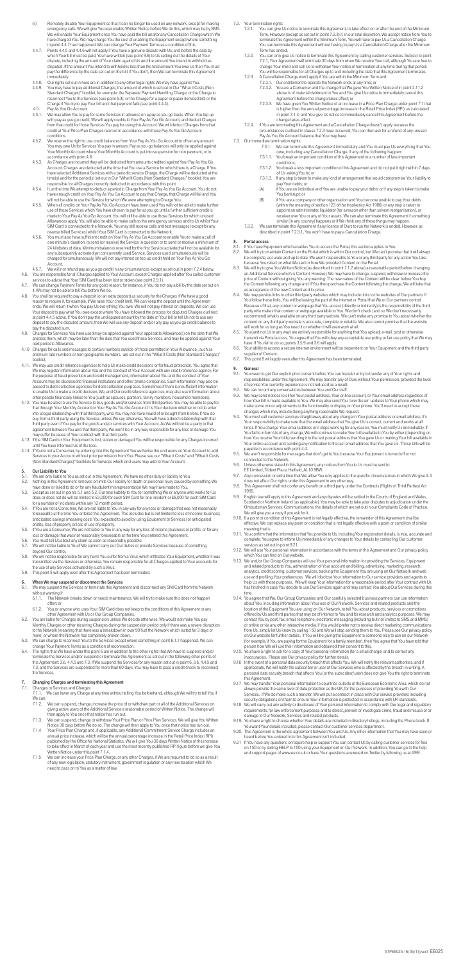- (ii) Remotely disable Your Equipment so that it can no longer be used on any network, except for making emergency calls. We will give You reasonable Written Notice before We do this, which may be by SMS.<br>We will enable Your Equipment once You have paid the bill and/or any Cancellation Charge which We<br>have charged You. We may
- in point 4.4.7 has happened. We can change Your Payment Terms as a condition of this. 4.4.7. Points 4.4.5 and 4.4.6 will not apply if You have a genuine dispute with Us; and before the date by which Your bill must be paid, You have written (see point 9.6) to Us setting out the details of Your dispute, including the amount of Your claim against Us and the amount You intend to withhold as<br>disputed. If the amount You intend to withhold is less than the total amount You owe Us then You must<br>pay the difference by th
- immediately.<br>4.4.8. Our rights set out in here are in addition to any other legal rights We may have against You.<br>4.4.9. You may have to pay additional Charges, the amount of which is set out in Our "What it Costs Standard Charges)" booklet, for example: the Separate Payment Handling Charge; or the Charge to reconnect You to the Services (see point 6.3); or the Charge for a paper or paper itemised bill; or the Charge if You try to pay Your bill and that payment fails (see point 4.4.4).
- .4.5. Pay As You Go Account<br>4.5.1. We may allow You to pay for some Services in advance on a pay as you go basis. When You top up<br>with pay as you go credit, We will apply credits to Your Pay As You Go Account, from that credit for those Services You pay for using this Account. We will deduct Charges from that credit at Your Price Plan Charges rate but in accordance with these Pay As You Go Account conditions.
- 4.5.2. We reserve the right to use credit balances from Your Pay As You Go Account to offset any amount<br>You may owe Us for Services You pay in arrears. Pay as you go balances will only be applied against<br>Your Monthly Accou
- accordance with point 4.8. 4.5.3. As Charges are incurred they will be deducted from amounts credited against Your Pay As You Go Account. Charges are deducted at the time that You use a Service for which there is a Charge. If You have selected Additional Services with a periodic service Charge, the Charge will be deducted at the<br>time(s) and for the period(s) set out in Our "What It Costs (Non Standard Charges)" booklet. You are<br>responsible for all
- 4.5.4. If, at the time We attempt to deduct a periodic Charge from Your Pay As You Go Account, You do not<br>have enough credit on Your Pay As You Go Account to pay that Charge, that Charge will fail and You<br>will not be able
- 4,5,5. When all credits on Your Pay As You Go Account have been used You will not be able to make further.<br>use of those Services which You have chosen to pay for as you go until a further sufficient credit is<br>made to Your Allowances apply. You will also be able to make calls to the emergency services and to Us whilst Your<br>SIM Card is connected to the Network. You may still receive calls and text messages (except for any<br>reverse billed Servi
- 4.5.6. You must also have sufficient credit on Your Pay As You Go Account to enable You to make a call of<br>One minute's duration, to send (or receive) the Service in question or to send or receive a minimum of<br>24 kilobytes any subsequently activated yet concurrently used Service. Services used simultaneously will be charged for simultaneously. We will not pay interest on top up credit held on Your Pay As You Go Account.
- 4.5.7. We will not refund pay as you go credit in any circumstances except as set out in point 7.2.4 below.<br>4.6. You are responsible for all Charges applied to Your Account, except Charges applied after You called customer
- 
- 4.7. We can change Payment Terms for any good reason, for instance, if You do not pay a bill by the date set out on it. We may not be able to tell You before We do.
- 4.8. You shall be required to pay a deposit (or an extra deposit) as security for the Charges if We have a good reason to require it, for example, if We raise Your credit limit. We can keep the deposit until the Agreement<br>ends. We will retum it when You pay Us everything You owe. We will not pay interest on deposits. We can use<br>Your at point 4.4.5 above. If You don't pay the undisputed amount by the date of Your bill or tell Us not to use any deposit to pay the disputed amount, then We will use any deposit and/or any pay as you go credit balance to pay the disputed sum.
- 4.9. Charges for Services You have used may be applied against Your applicable Allowance(s) on the date that We process them, which may be later than the date that You used those Services, and may be applied against Your next periodic Allowance.
- 4.10 Charges for calls and messages to certain numbers outside of those permitted in Your Allowance , such as premium rate numbers or non-geographic numbers, are set out in the "What It Costs (Non Standard Charges)" booklet;
- 4.11. We may use credit reference agencies to help Us make credit decisions or for fraud protection. You agree that<br>We may register information about You and the conduct of Your Account with any credit reference agency. Fo Account may be disclosed to financial institutions and other phone companies. Such information may also be<br>passed to debt collection agencies for debt collection purposes. Sometimes if there is insufficient information<br>to
- other people financially linked to You (such as spouses, partners, family members, household members).<br>4.12. You may be able to use the Service to buy goods and/or services from third parties. You may be able to pay for<br>th into a legal relationship with that third party, who You may not have heard of or bought from before. If You do<br>buy from a third party using the Service, unless We say otherwise, You will have a direct relationship with th agreement between You and that third party, We won't be in any way responsible for any loss or damage You may suffer because of Your contract with that third party.
- 4.13 If the SIM Card or Your Equipment is lost, stolen or damaged You will be responsible for any Charges incurred
- until You have informed Us of the loss.<br>4.14. If You're not a Consumer, by entering into this Agreement You authorise the end users on Your Account to add<br>Services to your Account without prior permission from You. Please (Non Standard Charges)" booklets for Services which end users may add to Your Account.

- 5.1. We are only liable to You as set out in this Agreement. We have no other duty or liability to You.
- 5.2. Nothing in this Agreement removes or limits Our liability for death or personal injury caused by something We<br>have done of failed to do or for any fraudulent misrepresentation We may have made to You.<br>5.3. Except as s
- does or does not do will be limited to £3,000 for each SIM Card for one incident or £6,000 for each SIM Card<br>for a number of incidents within any 12 month period.<br>5.4. If You are not a Consumer, We are not liable to You in
- foreseeable at the time You entered this Agreement. This includes but is not limited to loss of income; business; anticipated savings (meaning costs You expected to avoid by using Equipment or Services) or anticipated
- profits, loss of property or loss of use of property.<br>5.5. If You are a Consumer, We are not liable to You in any way for any loss of income; business or profits; or for any<br>loss or damage that was not reasonably fores
- 5.6. You must tell Us about any claim as soon as reasonably possible.<br>5.7. We will not be liable to You if We cannot carry out Our duties or pr We will not be liable to You if We cannot carry out Our duties or provide Services because of something beyond Our control.
- 5.8. We will not be responsible for any harm You suffer from a Virus which infiltrates Your Equipment, whether it was transmitted via the Services or otherwise. You remain responsible for all Charges applied to Your accounts for<br>the use of any Services activated by such a Virus.<br>5.9. This point 5 will apply even after this Agreement h

- 6. When We may suspend or disconnect the Services<br>6.1. We may suspend the Services or terminate this Agreen We may suspend the Services or terminate this Agreement and disconnect any SIM Card from the Network without warning if:<br>6.1.1. The Netw
	- The Network breaks down or needs maintenance. We will try to make sure this does not happen often; or 6.1.2. You or anyone who uses Your SIM Card does not keep to the conditions of this Agreement or any
- other Agreement with Us or Our Group Companies. 6.2. You are liable for Charges during suspension unless We decide otherwise. We would not make You pay
- Monthly Charges or other recurring Charges during the suspension period only if there was a severe disruption<br>to the Network (meaning that there was a breakdown in over 90% of the Network which lasted for 3 days or<br>more) o
- change Your Payment Terms as a condition of reconnection. 6.4. The rights that We have under this point 6 are in addition to the other rights that We have to suspend and/or
- terminate the Services and/or suspend or terminate this Agreement as set out in the following other points of<br>this Agreement: 3.6, 4.4.5 and 7.3. If We suspend the Services for any reason set out in point 6, 3.6, 4.4.5 and the Services.

## 7. Changing Charges and terminating this Agreement<br>7.1. Changes to Services and Charges

- 7.2. Your termination rights<br>7.2.1. You can give
	- 7.2.1. You can give Us notice to terminate this Agreement, to take effect on or after the end of the Minimum<br>Term. However (except as set out in point 7.2.3) if, in our total discretion, We accept notice from You to<br>termin You can terminate this Agreement without having to pay Us a Cancellation Charge after the Minimum Term has ended.
	- 7.2.2. You can only give Us notice to terminate this Agreement by calling customer services. Subject to point 7.2.1, Your Agreement will terminate 30 days from when We receive Your call, although You are free to change Your mind and call Us to withdraw Your notice of termination at any time during that period. You will be responsible for all Charges up to and including the date that this Agreement terminates.
	-
	- 7.2.3. A Cancellation Charge won't apply if You are within the Minimum Term and:<br>7.2.3.1. Our entitlement to operate the Network ends at any time; or<br>7.2.3.2. You are a Consumer and the change that We gave You Writte above is of material detriment to You and You give Us notice to immediately cancel this<br>Agreement before the change takes effect; or<br>7.2.3.3. We have given You Written Notice of an increase in a Price Plan Charge under poi
		- is higher than the annual percentage increase in the Retail Price Index (RPI) as calculated in point 7.1.4; and You give Us notice to immediately cancel this Agreement before the change takes effect.
	- 7.2.4. If You are terminating this Agreement and a Cancellation Charge doesn't apply because the<br>circumstances outlined in clause 7.2.3 have occurred, You can then ask for a refund of any unused<br>Pay As You Go Account balan

7.1. Changes to Services and Charges 7.1.1. We can lower any Charge at any time without telling You beforehand, although We will try to tell You if We can.<br>7.1.2.

### 5. Our Liability to You

- 7.3. Our immediate termination rights 7.3.1. We can terminate this Agreement immediately and You must pay Us everything that You owe, including any Cancellation Charge, if any of the following happen:
	- 7.3.1.1. You break an important condition of this Agreement or a number of less important conditions; 7.3.1.2. You break a less important condition of this Agreement and do not put it right within 7 days
	- of Us asking You to; or 7.3.1.3. If any step is taken to make any kind of arrangement that would compromise Your liability to
	- pay Your debts; or
	- (A) if You are an individual and You are unable to pay your debts or if any step is taken to make You bankrupt; or (B) if You are a company or other organisation and You become unable to pay Your debts (within the meaning of section 123 of the Insolvency Act 1986) or any step is taken to<br>appoint an administrator, liquidator (for a reason other than solvent reorganisation), or<br>receiver over You or any of Your assets. We c
	- similar (in any country) happens or if We think any of these things may happen.<br>7.3.2. We can terminate this Agreement if any licence of Ours to run the Network is ended. However, as
	- described in point 7.2.3.1, You won't have to pay a Cancellation Charge.

### 8. Portal access

- 8.1. If You have Equipment which enables You to access the Portal, this section applies to You.<br>8.2. We will try to maintain Content on the Portal which is within Our control, but We can't prom We will try to maintain Content on the Portal which is within Our control, but We can't promise that it will always
- be complete, accurate and up to date. We aren't responsible to You or any third party for any action You take<br>because You relied on what We said or how We provided Content on the Portal.<br>8.3. We will try to give You Wri
- an Additional Service which is Content. However, We may have to change, suspend, withdraw or increase the price of Content without giving You any warning. The new nature of the Content will be clear before You buy the Content following any change and if You then purchase the Content following the change, We will take that
- as acceptance of the new Content and its price.<br>8.4. We may provide links to other third party websites which may include links to the websites of Our partners. If<br>You follow those links, You will be leaving the part of th Because of that, any content or webpage that You access (directly or indirectly) is the responsibility of the third<br>party who makes that content or webpage available to You. We don't check (and so We don't necessarily<br>reco
- 
- have. If You fail to do so, points 3.5.9 and 3.6 will apply. 8.6. Your ability to access a secure internet environment will be dependent on Your Equipment and the third party supplier of Content.
- 8.7. This point 8 will apply even after this Agreement has been terminated.

## 9. General<br>9.1. You nee

- 9.1. You need to get Our explicit prior consent before You can transfer or try to transfer any of Your rights and<br>responsibilities under this Agreement. We may transfer any of Ours without Your permission, provided the lev
- 9.2. We can record any conversations between You and Our staff. 9.3. We may send notices to either Your postal address, Your online account, or Your email address regardless of how Your bill is made available to You. We may also send You 'over the air' updates to Your phone which may make some minor adjustments to the functionality or display on Your phone. You'll need to accept these<br>changes which may include doing anything reasonable We request.<br>9.4. You must call customer services straightaway about
- Your responsibility to make sure that the email address that You give Us is correct, current and works at all<br>times. If You change Your email address or it stops working for any reason, You must notify Us immediately. If<br>Y
- 9.5. We aren't responsible for messages that don't get to You because Your Equipment is turned off or not connected to the Network.
- 9.6. Unless otherwise stated in this Agreement, any notices from You to Us must be sent to:
- EE Limited, Trident Place, Hatfield, AL10 9BW. 9.7. Any concession or extra time that We allow You only applies to the specific circumstances in which We give it. It does not affect Our rights under this Agreement in any other way.
- 9.8. This Agreement shall not confer any benefit on a third party under the Contracts (Rights of Third Parties) Act 1999.
- 9.9. English law will apply to this Agreement and any disputes will be settled in the Courts of England and Wales, Scotland or Northern Ireland (as applicable). You may be able to take your disputes to adjudication under the Ombudsman Services: Communications, the details of which are set out in our Complaints Code of Practice. We will give you a copy if you ask for it.
- 9.10. If a point or condition of this Agreement is not legally effective, the remainder of this Agreement shall be<br>effective. We can replace any point or condition that is not legally effective with a point or condition of meaning that is.
- 9.11. You confirm that the information that You provide to Us, including Your registration details, is true, accurate and<br>complete. You agree to inform Us immediately of any changes to Your details by contacting Our custom services as set out in point 9.21.
- 9.12. We will use Your personal information in accordance with the terms of this Agreement and Our privacy policy which You can find on Our website.
- 9.13. We and/or Our Group Companies will use Your personal information for providing the Services, Equipment and related products to You, administration of Your account and billing, advertising, marketing, research,<br>analytics, credit scoring, customer services, tracking the Equipment You are using on Our Network and web<br>use and p help Us with these purposes. We will keep Your information for a reasonable period after Your contract with Us has finished in case You decide to use Our Services again and may contact You about Our Services during this time.
- 9.14. You agree that We, Our Group Companies and Our carefully selected business partners can use information<br>about You, including information about Your use of Our Network, Services and related products and the<br>location o offered by Us and third parties that may be of interest to You and for research and analytics purposes. We may<br>contact You by post, fax, email, telephone, electronic messaging (including but not limited to SMS and MMS)<br>or
- person how We will use their information and obtained their consent to this.<br>9.15. You have a right to ask for a copy of Your personal information (for a small charge) and to correct any<br>inaccuracies. Please see Our privac
- 9.16 In the event of a personal data security breach that affects You, We will notify the relevant authorities, and if appropriate, We will notify the subscriber or user of Our Services who is affected by the breach in writing. A personal data security breach that affects You (or the subscriber/user) does not give You the right to terminate this Agreement.
- We may transfer Your personal information to countries outside of the European Economic Area, which do not

- 7.1.2. We can suspend, change, increase the price of or withdraw part or all of the Additional Services on giving active users of the Additional Service a reasonable period of Written Notice. The change will then apply to You once that notice has run out.<br>We can suspend, change or withdraw Your Prior
- 7.1.3. We can suspend, change or withdraw Your Price Plan or Price Plan Services. We will give You Written Notice 30 days before We do so. The change will then apply to You once that notice has run out.
- 7.1.4 Your Price Plan Charge and, if applicable, any Additional Commitment Service Charge includes an annual price increase, which will be the annual percentage increase in the Retail Price Index (RPI) published by the Office for National Statistics. We will give You 30 days Written Notice of the increase to take effect in March of each year and use the most recently published RPI figure before we give You
- Written Notice under this point 7.1.4. 7.1.5 We can increase your Price Plan Charge, or any other Charges, if We are required to do so as a result of any new legislation, statutory instrument, government regulation or any new taxation which We need to pass on to You as a matter of law.
- always provide the same level of data protection as the UK, for the purposes of providing You with Our Services. If We do make such a transfer, We will put a contract in place with Our service providers including security obligations on them to ensure Your information is protected in accordance with UK standards.
- 9.18 We will carry out any activity or disclosure of Your personal information to comply with Our legal and regulatory requirements, for law enforcement purposes and to detect, prevent or investigate crime, fraud and misuse of or damage to Our Network, Services and related products.
- 9.19. You have a right to choose whether Your details are included in directory listings, including the Phone book. If You want Your details included, please contact Our customer services department.
- 9.20. This Agreement is the whole agreement between You and Us. Any other information that You may have seen or heard before You entered into this Agreement isn't included.
- 9.21 If You have any questions or require help or support You can contact Us by calling customer services for free on 150 or by texting HELP to 150 using your Equipment on Our Network. In addition, You can go to the help and support pages of www.ee.co.uk or have Your questions answered on Twitter by following us at @EE.